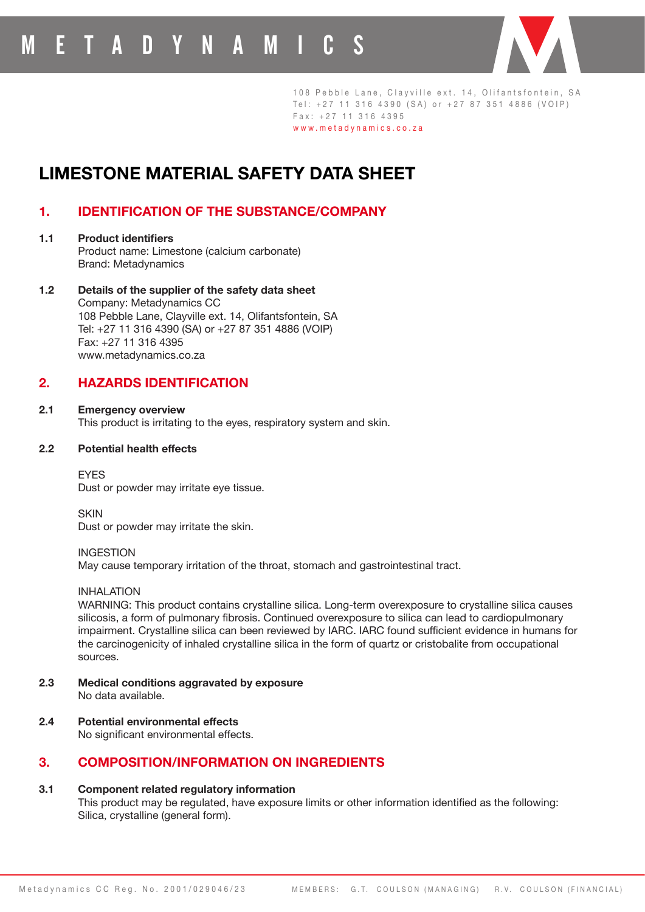# **LIMESTONE MATERIAL SAFETY DATA SHEET**

## **1. IDENTIFICATION OF THE SUBSTANCE/COMPANY**

- **1.1 Product identifiers**  Product name: Limestone (calcium carbonate) Brand: Metadynamics
- **1.2 Details of the supplier of the safety data sheet**  Company: Metadynamics CC 108 Pebble Lane, Clayville ext. 14, Olifantsfontein, SA Tel: +27 11 316 4390 (SA) or +27 87 351 4886 (VOIP) Fax: +27 11 316 4395 www.metadynamics.co.za

## **2. HAZARDS IDENTIFICATION**

**2.1 Emergency overview**  This product is irritating to the eyes, respiratory system and skin.

## **2.2 Potential health effects**

**EYES** Dust or powder may irritate eye tissue.

**SKIN** Dust or powder may irritate the skin.

## INGESTION

May cause temporary irritation of the throat, stomach and gastrointestinal tract.

## INHALATION

WARNING: This product contains crystalline silica. Long-term overexposure to crystalline silica causes silicosis, a form of pulmonary fibrosis. Continued overexposure to silica can lead to cardiopulmonary impairment. Crystalline silica can been reviewed by IARC. IARC found sufficient evidence in humans for the carcinogenicity of inhaled crystalline silica in the form of quartz or cristobalite from occupational sources.

- **2.3 Medical conditions aggravated by exposure** No data available.
- **2.4 Potential environmental effects**

 No significant environmental effects.

## **3. COMPOSITION/INFORMATION ON INGREDIENTS**

## **3.1 Component related regulatory information**

 This product may be regulated, have exposure limits or other information identified as the following: Silica, crystalline (general form).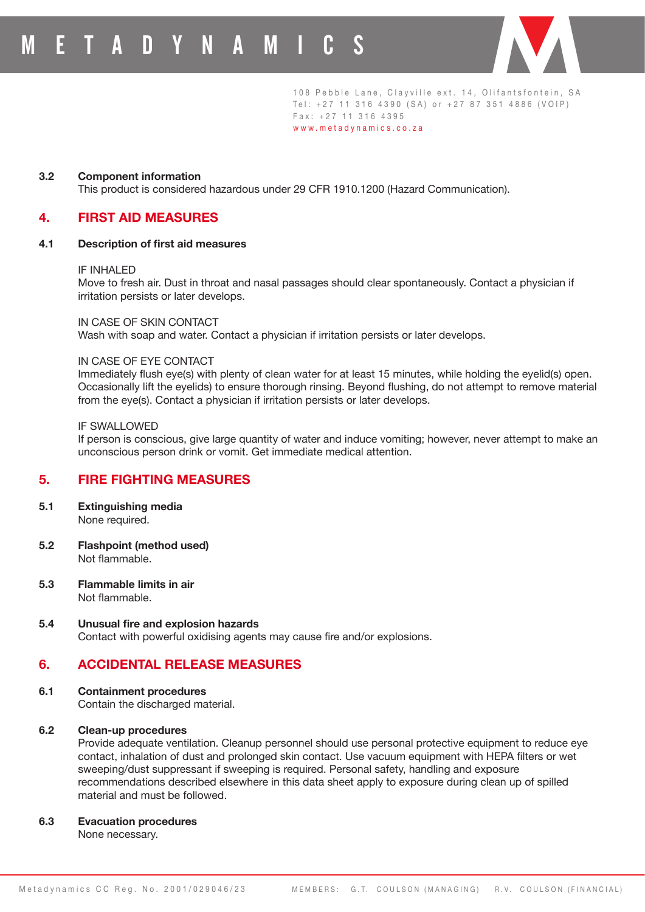

#### **3.2 Component information**

This product is considered hazardous under 29 CFR 1910.1200 (Hazard Communication).

## **4. FIRST AID MEASURES**

#### **4.1 Description of first aid measures**

#### IF INHALED

Move to fresh air. Dust in throat and nasal passages should clear spontaneously. Contact a physician if irritation persists or later develops.

#### IN CASE OF SKIN CONTACT

Wash with soap and water. Contact a physician if irritation persists or later develops.

#### IN CASE OF EYE CONTACT

 Immediately flush eye(s) with plenty of clean water for at least 15 minutes, while holding the eyelid(s) open. Occasionally lift the eyelids) to ensure thorough rinsing. Beyond flushing, do not attempt to remove material from the eye(s). Contact a physician if irritation persists or later develops.

#### IF SWALLOWED

If person is conscious, give large quantity of water and induce vomiting; however, never attempt to make an unconscious person drink or vomit. Get immediate medical attention.

## **5. FIRE FIGHTING MEASURES**

- **5.1 Extinguishing media**  None required.
- **5.2 Flashpoint (method used)** Not flammable.
- **5.3 Flammable limits in air** Not flammable.
- **5.4 Unusual fire and explosion hazards** Contact with powerful oxidising agents may cause fire and/or explosions.

## **6. ACCIDENTAL RELEASE MEASURES**

## **6.1 Containment procedures**

Contain the discharged material.

#### **6.2 Clean-up procedures**

Provide adequate ventilation. Cleanup personnel should use personal protective equipment to reduce eye contact, inhalation of dust and prolonged skin contact. Use vacuum equipment with HEPA filters or wet sweeping/dust suppressant if sweeping is required. Personal safety, handling and exposure recommendations described elsewhere in this data sheet apply to exposure during clean up of spilled material and must be followed.

#### **6.3 Evacuation procedures**

None necessary.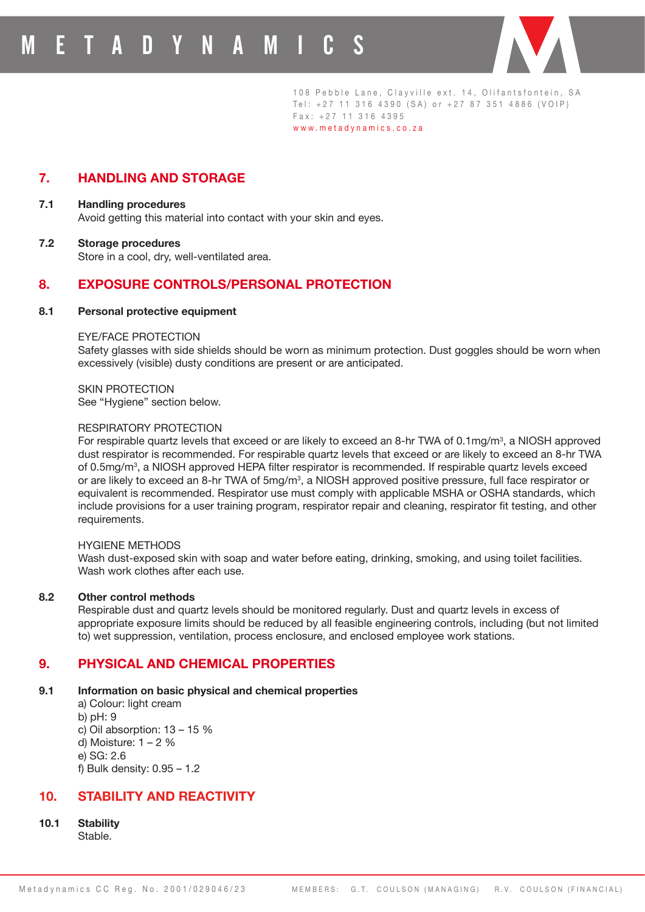

## **7. HANDLING AND STORAGE**

- **7.1 Handling procedures**  Avoid getting this material into contact with your skin and eyes.
- **7.2 Storage procedures** Store in a cool, dry, well-ventilated area.

## **8. EXPOSURE CONTROLS/PERSONAL PROTECTION**

#### **8.1 Personal protective equipment**

#### EYE/FACE PROTECTION

Safety glasses with side shields should be worn as minimum protection. Dust goggles should be worn when excessively (visible) dusty conditions are present or are anticipated.

SKIN PROTECTION See "Hygiene" section below.

#### RESPIRATORY PROTECTION

For respirable quartz levels that exceed or are likely to exceed an 8-hr TWA of 0.1mg/m<sup>3</sup>, a NIOSH approved dust respirator is recommended. For respirable quartz levels that exceed or are likely to exceed an 8-hr TWA of 0.5mg/m<sup>3</sup>, a NIOSH approved HEPA filter respirator is recommended. If respirable quartz levels exceed or are likely to exceed an 8-hr TWA of 5mg/m<sup>3</sup>, a NIOSH approved positive pressure, full face respirator or equivalent is recommended. Respirator use must comply with applicable MSHA or OSHA standards, which include provisions for a user training program, respirator repair and cleaning, respirator fit testing, and other requirements.

#### HYGIENE METHODS

Wash dust-exposed skin with soap and water before eating, drinking, smoking, and using toilet facilities. Wash work clothes after each use.

#### **8.2 Other control methods**

Respirable dust and quartz levels should be monitored regularly. Dust and quartz levels in excess of appropriate exposure limits should be reduced by all feasible engineering controls, including (but not limited to) wet suppression, ventilation, process enclosure, and enclosed employee work stations.

## **9. PHYSICAL AND CHEMICAL PROPERTIES**

## **9.1 Information on basic physical and chemical properties**

a) Colour: light cream b) pH: 9 c) Oil absorption: 13 – 15 % d) Moisture:  $1 - 2$  % e) SG: 2.6 f) Bulk density: 0.95 – 1.2

## **10. STABILITY AND REACTIVITY**

**10.1 Stability**

Stable.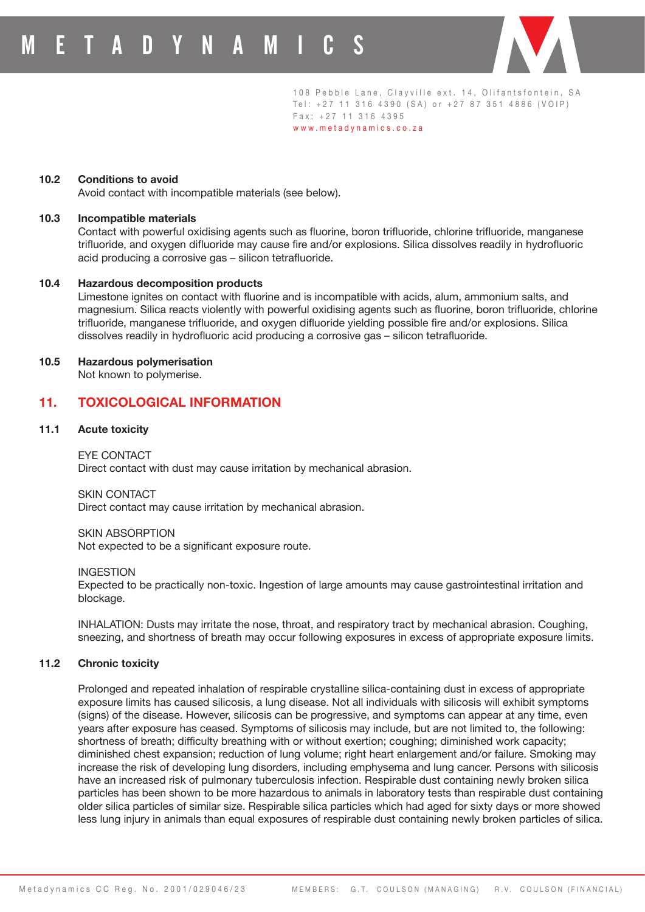

108 Pebble Lane, Clayville ext. 14, Olifantsfontein, SA Tel: +27 11 316 4390 (SA) or +27 87 351 4886 (VOIP) Fax: +27 11 316 4395

www.metadynamics.co.za

## **10.2 Conditions to avoid**

Avoid contact with incompatible materials (see below).

## **10.3 Incompatible materials**

 Contact with powerful oxidising agents such as fluorine, boron trifluoride, chlorine trifluoride, manganese trifluoride, and oxygen difluoride may cause fire and/or explosions. Silica dissolves readily in hydrofluoric acid producing a corrosive gas – silicon tetrafluoride.

## **10.4 Hazardous decomposition products**

 Limestone ignites on contact with fluorine and is incompatible with acids, alum, ammonium salts, and magnesium. Silica reacts violently with powerful oxidising agents such as fluorine, boron trifluoride, chlorine trifluoride, manganese trifluoride, and oxygen difluoride yielding possible fire and/or explosions. Silica dissolves readily in hydrofluoric acid producing a corrosive gas – silicon tetrafluoride.

## **10.5 Hazardous polymerisation**

Not known to polymerise.

## **11. TOXICOLOGICAL INFORMATION**

## **11.1 Acute toxicity**

EYE CONTACT

Direct contact with dust may cause irritation by mechanical abrasion.

SKIN CONTACT

Direct contact may cause irritation by mechanical abrasion.

## SKIN ABSORPTION

 Not expected to be a significant exposure route.

#### **INGESTION**

Expected to be practically non-toxic. Ingestion of large amounts may cause gastrointestinal irritation and blockage.

INHALATION: Dusts may irritate the nose, throat, and respiratory tract by mechanical abrasion. Coughing, sneezing, and shortness of breath may occur following exposures in excess of appropriate exposure limits.

#### **11.2 Chronic toxicity**

Prolonged and repeated inhalation of respirable crystalline silica-containing dust in excess of appropriate exposure limits has caused silicosis, a lung disease. Not all individuals with silicosis will exhibit symptoms (signs) of the disease. However, silicosis can be progressive, and symptoms can appear at any time, even years after exposure has ceased. Symptoms of silicosis may include, but are not limited to, the following: shortness of breath; difficulty breathing with or without exertion; coughing; diminished work capacity; diminished chest expansion; reduction of lung volume; right heart enlargement and/or failure. Smoking may increase the risk of developing lung disorders, including emphysema and lung cancer. Persons with silicosis have an increased risk of pulmonary tuberculosis infection. Respirable dust containing newly broken silica particles has been shown to be more hazardous to animals in laboratory tests than respirable dust containing older silica particles of similar size. Respirable silica particles which had aged for sixty days or more showed less lung injury in animals than equal exposures of respirable dust containing newly broken particles of silica.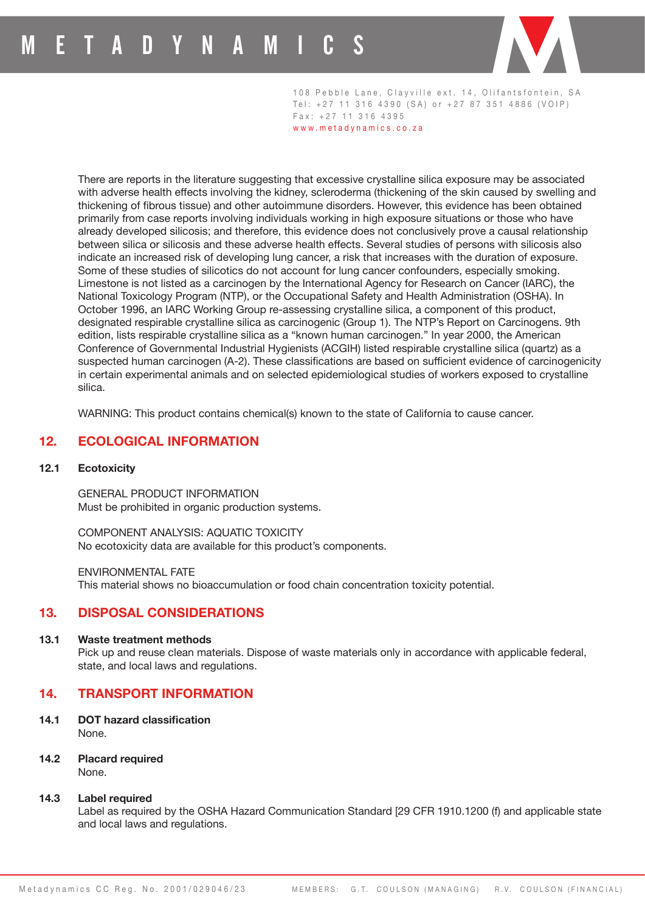

108 Pebble Lane, Clayville ext. 14, Olifantsfontein, SA Tel: +27 11 316 4390 (SA) or +27 87 351 4886 (VOIP) Fax: +27 11 316 4395

www.metadynamics.co.za

There are reports in the literature suggesting that excessive crystalline silica exposure may be associated with adverse health effects involving the kidney, scleroderma (thickening of the skin caused by swelling and thickening of fibrous tissue) and other autoimmune disorders. However, this evidence has been obtained primarily from case reports involving individuals working in high exposure situations or those who have already developed silicosis; and therefore, this evidence does not conclusively prove a causal relationship between silica or silicosis and these adverse health effects. Several studies of persons with silicosis also indicate an increased risk of developing lung cancer, a risk that increases with the duration of exposure. Some of these studies of silicotics do not account for lung cancer confounders, especially smoking. Limestone is not listed as a carcinogen by the International Agency for Research on Cancer (IARC), the National Toxicology Program (NTP), or the Occupational Safety and Health Administration (OSHA). In October 1996, an IARC Working Group re-assessing crystalline silica, a component of this product, designated respirable crystalline silica as carcinogenic (Group 1). The NTP's Report on Carcinogens. 9th edition, lists respirable crystalline silica as a "known human carcinogen." In year 2000, the American Conference of Governmental Industrial Hygienists (ACGIH) listed respirable crystalline silica (quartz) as a suspected human carcinogen (A-2). These classifications are based on sufficient evidence of carcinogenicity in certain experimental animals and on selected epidemiological studies of workers exposed to crystalline silica.

WARNING: This product contains chemical(s) known to the state of California to cause cancer.

## **12. ECOLOGICAL INFORMATION**

## **12.1 Ecotoxicity**

GENERAL PRODUCT INFORMATION Must be prohibited in organic production systems.

COMPONENT ANALYSIS: AQUATIC TOXICITY No ecotoxicity data are available for this product's components.

ENVIRONMENTAL FATE This material shows no bioaccumulation or food chain concentration toxicity potential.

## **13. DISPOSAL CONSIDERATIONS**

## **13.1 Waste treatment methods**

Pick up and reuse clean materials. Dispose of waste materials only in accordance with applicable federal, state, and local laws and regulations.

## **14. TRANSPORT INFORMATION**

**14.1 DOT hazard classification** None.

**14.2 Placard required** None.

#### **14.3 Label required**

Label as required by the OSHA Hazard Communication Standard [29 CFR 1910.1200 (f) and applicable state and local laws and regulations.